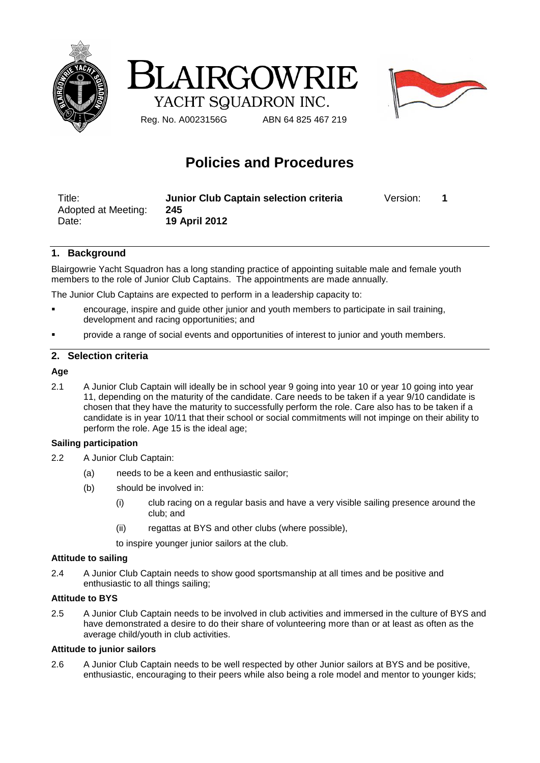





Reg. No. A0023156G ABN 64 825 467 219

# **Policies and Procedures**

| Title:              | Junior Club Captain selection criteria | Version: |  |
|---------------------|----------------------------------------|----------|--|
| Adopted at Meeting: | 245                                    |          |  |
| Date:               | <b>19 April 2012</b>                   |          |  |

## **1. Background**

Blairgowrie Yacht Squadron has a long standing practice of appointing suitable male and female youth members to the role of Junior Club Captains. The appointments are made annually.

The Junior Club Captains are expected to perform in a leadership capacity to:

- encourage, inspire and guide other junior and youth members to participate in sail training, development and racing opportunities; and
- provide a range of social events and opportunities of interest to junior and youth members.

## **2. Selection criteria**

## **Age**

2.1 A Junior Club Captain will ideally be in school year 9 going into year 10 or year 10 going into year 11, depending on the maturity of the candidate. Care needs to be taken if a year 9/10 candidate is chosen that they have the maturity to successfully perform the role. Care also has to be taken if a candidate is in year 10/11 that their school or social commitments will not impinge on their ability to perform the role. Age 15 is the ideal age;

## **Sailing participation**

- 2.2 A Junior Club Captain:
	- (a) needs to be a keen and enthusiastic sailor;
	- (b) should be involved in:
		- (i) club racing on a regular basis and have a very visible sailing presence around the club; and
		- (ii) regattas at BYS and other clubs (where possible),

to inspire younger junior sailors at the club.

#### **Attitude to sailing**

2.4 A Junior Club Captain needs to show good sportsmanship at all times and be positive and enthusiastic to all things sailing;

#### **Attitude to BYS**

2.5 A Junior Club Captain needs to be involved in club activities and immersed in the culture of BYS and have demonstrated a desire to do their share of volunteering more than or at least as often as the average child/youth in club activities.

## **Attitude to junior sailors**

2.6 A Junior Club Captain needs to be well respected by other Junior sailors at BYS and be positive, enthusiastic, encouraging to their peers while also being a role model and mentor to younger kids;